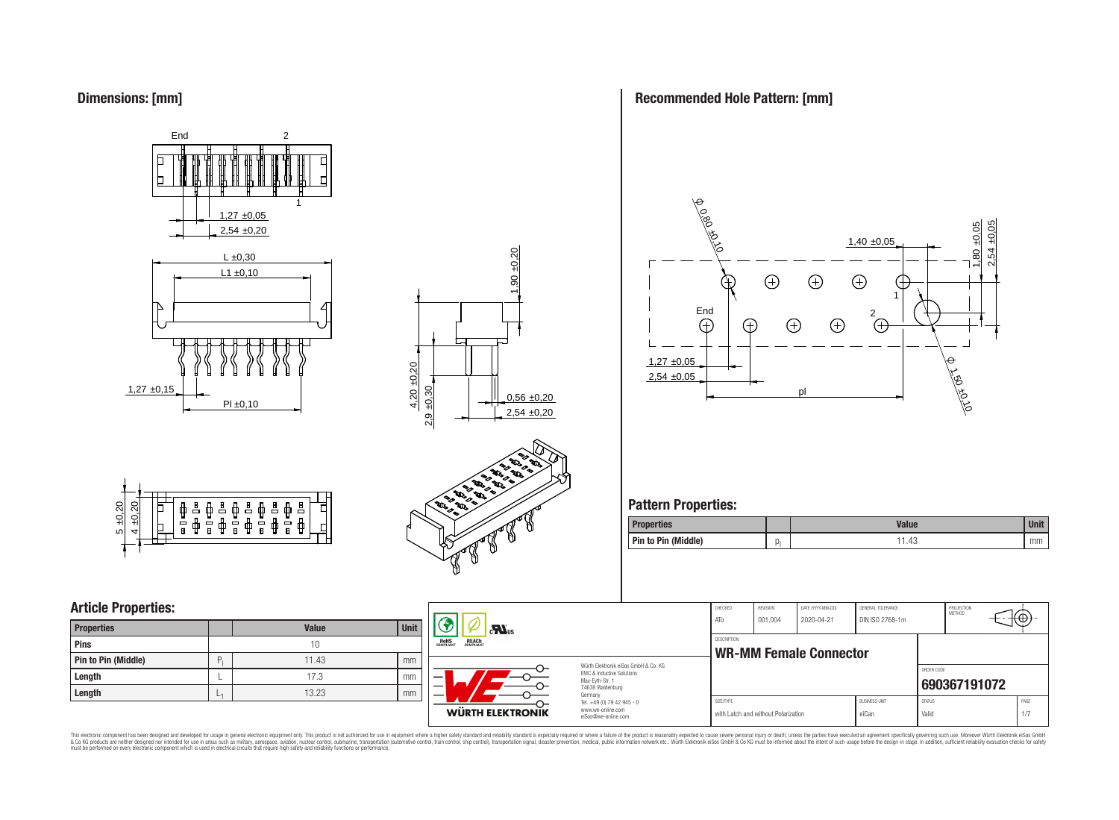# **Dimensions: [mm]**







# **Article Properties:**

| <b>Properties</b>   |   | <b>Value</b> | <b>Unit</b> |
|---------------------|---|--------------|-------------|
| <b>Pins</b>         |   | 10           |             |
| Pin to Pin (Middle) | D | 11.43        | mm          |
| Length              |   | 17.3         | mm          |
| Length              |   | 13.23        | mm          |



# **Recommended Hole Pattern: [mm]**



# **Pattern Properties:**

| Properties          |    | <b>Value</b> | Unit |
|---------------------|----|--------------|------|
| Pin to Pin (Middle) | ال | 1.43         | mm   |

| <b>Unit</b><br>ue | $c$ <b>N</b> <sub>us</sub>                            |                                                                        | CHECKED<br>ATo | REVISION<br>001.004                 | DATE (YYYY-MM-DD)<br>2020-04-21 | GENERAL TOLERANCE<br>DIN ISO 2768-1m |                        | PROJECTION<br>METHOD | ₩Φ.        |
|-------------------|-------------------------------------------------------|------------------------------------------------------------------------|----------------|-------------------------------------|---------------------------------|--------------------------------------|------------------------|----------------------|------------|
|                   | <b>REACH</b><br>COMPLIANT<br><b>ROHS</b><br>COMPLIANT |                                                                        | DESCRIPTION    | <b>WR-MM Female Connector</b>       |                                 |                                      |                        |                      |            |
| 43<br>mm          |                                                       | Würth Elektronik eiSos GmbH & Co. KG                                   |                |                                     |                                 |                                      |                        |                      |            |
| mm                |                                                       | EMC & Inductive Solutions<br>Max-Eyth-Str. 1                           |                |                                     |                                 |                                      | ORDER CODE             | 690367191072         |            |
| 23<br>mm          |                                                       | 74638 Waldenburg<br>Germany                                            |                |                                     |                                 |                                      |                        |                      |            |
|                   | WÜRTH ELEKTRONIK                                      | Tel. +49 (0) 79 42 945 - 0<br>www.we-online.com<br>eiSos@we-online.com | SIZE/TYPE      | with Latch and without Polarization |                                 | <b>BUSINESS UNIT</b><br>eiCan        | <b>STATUS</b><br>Valid |                      | PAGE<br>17 |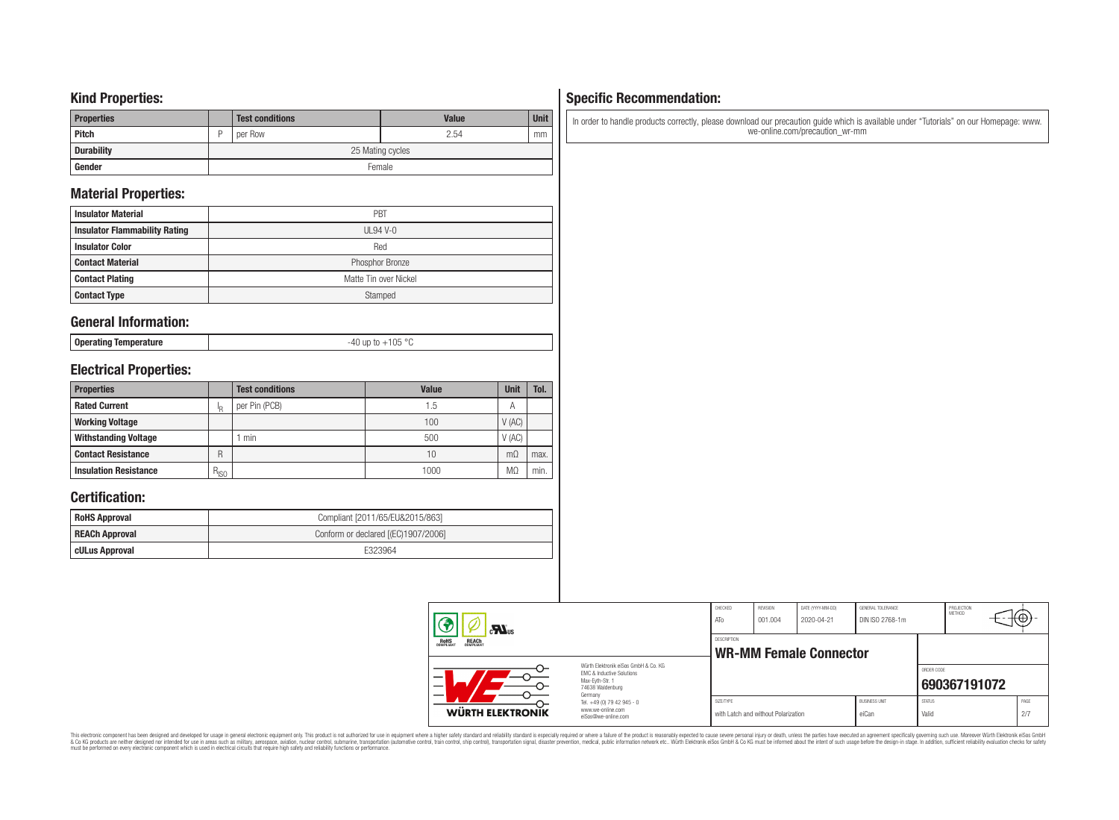### **Kind Properties:**

| <b>Properties</b> |   | <b>Test conditions</b> | <b>Value</b> | <b>Unit</b> |  |  |  |
|-------------------|---|------------------------|--------------|-------------|--|--|--|
| <b>Pitch</b>      | D | per Row                | 2.54         | mm          |  |  |  |
| <b>Durability</b> |   | 25 Mating cycles       |              |             |  |  |  |
| Gender            |   | Female                 |              |             |  |  |  |

# **Material Properties:**

| <b>Insulator Material</b>            | PBT                   |
|--------------------------------------|-----------------------|
| <b>Insulator Flammability Rating</b> | $UL94V-0$             |
| <b>Insulator Color</b>               | Red                   |
| <b>Contact Material</b>              | Phosphor Bronze       |
| <b>Contact Plating</b>               | Matte Tin over Nickel |
| <b>Contact Type</b>                  | Stamped               |

### **General Information:**

| Operating Temperature |  |
|-----------------------|--|
|-----------------------|--|

-40 up to +105 °C

# **Electrical Properties:**

| <b>Properties</b>            |           | <b>Test conditions</b> | <b>Value</b> | <b>Unit</b> | Tol. |
|------------------------------|-----------|------------------------|--------------|-------------|------|
| <b>Rated Current</b>         |           | per Pin (PCB)          | 1.5          | Α           |      |
| <b>Working Voltage</b>       |           |                        | 100          | V(AC)       |      |
| <b>Withstanding Voltage</b>  |           | min                    | 500          | V(AC)       |      |
| <b>Contact Resistance</b>    | R         |                        | 10           | $m\Omega$   | max. |
| <b>Insulation Resistance</b> | $R_{ISO}$ |                        | 1000         | MΩ          | min. |

# **Certification:**

| <b>RoHS Approval</b>  | Compliant [2011/65/EU&2015/863]     |
|-----------------------|-------------------------------------|
| <b>REACh Approval</b> | Conform or declared [(EC)1907/2006] |
| cULus Approval        | F323964                             |

#### CHECKED REVISION DATE (YYYY-MM-DD) GENERAL TOLERANCE PROJECTION<br>METHOD (⊕ ATo 001.004 2020-04-21 DIN ISO 2768-1m  $\mathbf{M}$ <sub>us</sub> DESCRIPTION RoH<sub>S</sub> **WR-MM Female Connector** Würth Elektronik eiSos GmbH & Co. KG ORDER CODE EMC & Inductive Solutions Max-Eyth-Str. 1 **[690367191072](https://katalog.we-online.de/en/em/WR-MM/690367191072)** 74638 Waldenburg Germany Tel. +49 (0) 79 42 945 - 0 SIZE/TYPE BUSINESS UNIT STATUS PAGE www.we-online.com **WÜRTH ELEKTRONIK** with Latch and without Polarization eiCan valid Valid Valid 2/7 eiSos@we-online.com

# This electronic component has been designed and developed for usage in general electronic equipment only. This product is not authorized for subserved requipment where a higher selection equipment where a higher selection

# **Specific Recommendation:**

In order to handle products correctly, please download our precaution guide which is available under "Tutorials" on our Homepage: www. we-online.com/precaution\_wr-mm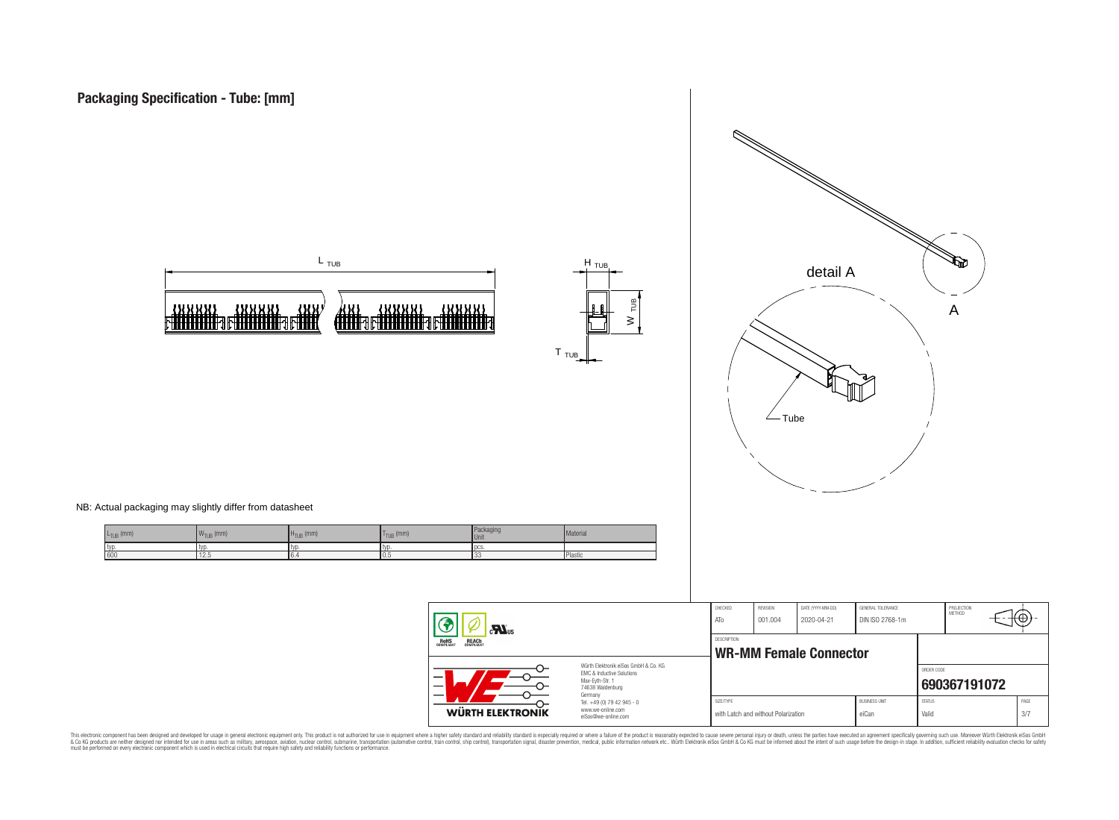





NB: Actual packaging may slightly differ from datasheet

| $L_{TUB}$ (mm) | $ {\mathsf W}_{\mathsf{TUB}}\>(\mathsf{mm}) $ | $H_{TUB}$ (mm) | $T_{TUB}$ (mm) | Packaging<br>Unit | Material |
|----------------|-----------------------------------------------|----------------|----------------|-------------------|----------|
| I typ          | <b>LVI</b>                                    | l tvo          | typ            | <b>IDCS</b>       |          |
| 600            | L.5                                           | IO.            | U.             |                   | Plastic  |

| $\mathbf{M}$ us<br><b>ROHS</b><br>COMPLIANT<br><b>REACH</b><br>COMPLIANT |                                                                                                          | CHECKED<br>ATO                                      | <b>REVISION</b><br>001.004          | DATE (YYYY-MM-DD)<br>2020-04-21 | GENERAL TOLERANCE<br>DIN ISO 2768-1m |                        | PROJECTION<br>METHOD | tΨ          |
|--------------------------------------------------------------------------|----------------------------------------------------------------------------------------------------------|-----------------------------------------------------|-------------------------------------|---------------------------------|--------------------------------------|------------------------|----------------------|-------------|
|                                                                          |                                                                                                          | <b>DESCRIPTION</b><br><b>WR-MM Female Connector</b> |                                     |                                 |                                      |                        |                      |             |
|                                                                          | Würth Flektronik eiSos GmbH & Co. KG<br>FMC & Inductive Solutions<br>Max-Eyth-Str. 1<br>74638 Waldenburg |                                                     |                                     |                                 |                                      | ORDER CODE             | 690367191072         |             |
| WÜRTH ELEKTRONIK                                                         | Germany<br>Tel. +49 (0) 79 42 945 - 0<br>www.we-online.com<br>eiSos@we-online.com                        | SIZE/TYPE                                           | with Latch and without Polarization |                                 | <b>BUSINESS UNIT</b><br>eiCan        | <b>STATUS</b><br>Valid |                      | PAGE<br>3/7 |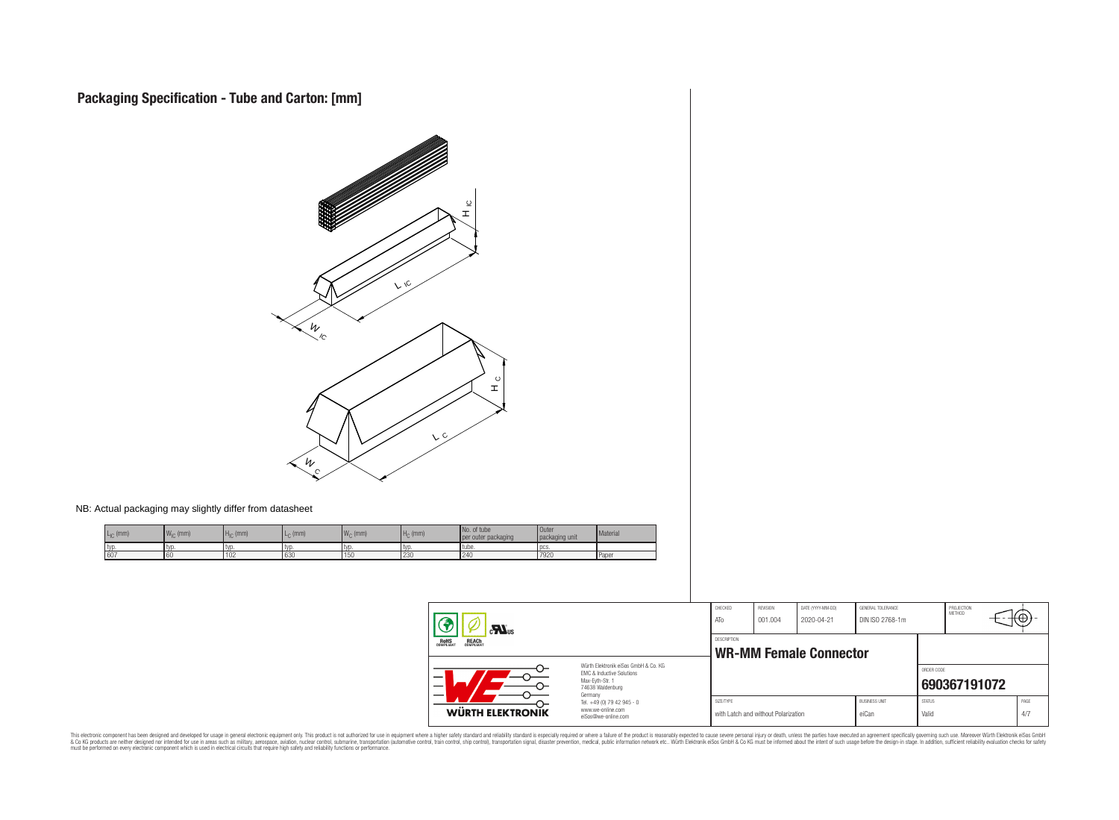

NB: Actual packaging may slightly differ from datasheet

| $\cdot$ (mm) | $W_{\text{in}}$ (mm) | $H_{IC}$ (mm) | $L_{\cap}$ (mm) | $Wc$ (mm) | $Ho$ (mm)        | No. of tube<br>per outer packaging | <b>Outer</b><br>packaging unit | Material     |
|--------------|----------------------|---------------|-----------------|-----------|------------------|------------------------------------|--------------------------------|--------------|
| tvi          | ΙVΟ                  | l typ         | l tvr           | l tvo     | l typ            | l tube.                            | l pcs.                         |              |
| 607          | 60                   | 102           | 630             | 150       | $\sim$<br>1 Z.JU | 124f<br><b>LTU</b>                 | 7920                           | <b>Paper</b> |

| $\mathbf{r}$                                          |                                                                                                                     | CHECKED<br>ATo     | <b>REVISION</b><br>001.004          | DATE (YYYY-MM-DD)<br>2020-04-21 | GENERAL TOLERANCE<br>DIN ISO 2768-1m |                        | PROJECTION<br><b>METHOD</b> | tФ          |  |
|-------------------------------------------------------|---------------------------------------------------------------------------------------------------------------------|--------------------|-------------------------------------|---------------------------------|--------------------------------------|------------------------|-----------------------------|-------------|--|
| <b>ROHS</b><br>COMPLIANT<br><b>REACH</b><br>COMPLIANT |                                                                                                                     | <b>DESCRIPTION</b> |                                     | <b>WR-MM Female Connector</b>   |                                      |                        |                             |             |  |
|                                                       | Würth Flektronik eiSos GmbH & Co. KG<br>EMC & Inductive Solutions<br>Max-Eyth-Str. 1<br>74638 Waldenburg<br>Germany |                    |                                     |                                 |                                      | ORDER CODE             | 690367191072                |             |  |
| WÜRTH ELEKTRONIK                                      | Tel. +49 (0) 79 42 945 - 0<br>www.we-online.com<br>eiSos@we-online.com                                              | SIZE/TYPE          | with Latch and without Polarization |                                 | <b>BUSINESS UNIT</b><br>eiCan        | <b>STATUS</b><br>Valid |                             | PAGE<br>4/7 |  |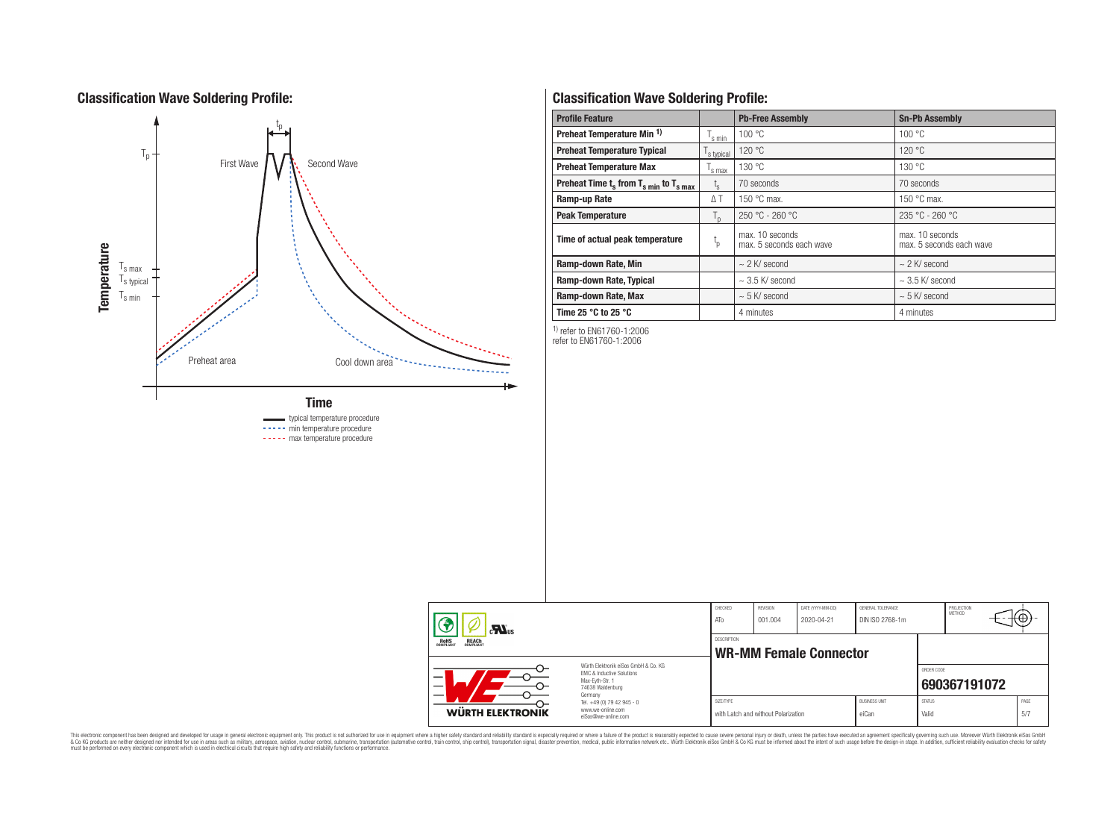# **Classification Wave Soldering Profile:**



----- min temperature procedure

----- max temperature procedure

# **Classification Wave Soldering Profile:**

| <b>Profile Feature</b>                             |                | <b>Pb-Free Assembly</b>                     | <b>Sn-Pb Assembly</b>                       |  |  |
|----------------------------------------------------|----------------|---------------------------------------------|---------------------------------------------|--|--|
| Preheat Temperature Min <sup>1)</sup>              | s min          | 100 °C                                      | 100 °C                                      |  |  |
| <b>Preheat Temperature Typical</b>                 | s typical      | 120 °C                                      | 120 °C                                      |  |  |
| <b>Preheat Temperature Max</b>                     | s max          | 130 °C                                      | 130 °C                                      |  |  |
| Preheat Time $t_s$ from $T_{s,min}$ to $T_{s,max}$ | $t_{s}$        | 70 seconds                                  | 70 seconds                                  |  |  |
| Ramp-up Rate                                       | ΔΤ             | 150 $\degree$ C max.                        | 150 $\degree$ C max.                        |  |  |
| <b>Peak Temperature</b>                            | $T_{\text{D}}$ | $250 °C - 260 °C$                           | $235 °C - 260 °C$                           |  |  |
| Time of actual peak temperature                    | $t_{p}$        | max. 10 seconds<br>max. 5 seconds each wave | max. 10 seconds<br>max. 5 seconds each wave |  |  |
| Ramp-down Rate, Min                                |                | $\sim$ 2 K/ second                          | $\sim$ 2 K/ second                          |  |  |
| Ramp-down Rate, Typical                            |                | $\sim$ 3.5 K/ second                        | $\sim$ 3.5 K/ second                        |  |  |
| Ramp-down Rate, Max                                |                | $\sim$ 5 K/ second                          | $\sim$ 5 K/ second                          |  |  |
| Time 25 $\degree$ C to 25 $\degree$ C              |                | 4 minutes                                   | 4 minutes                                   |  |  |

1) refer to EN61760-1:2006

refer to EN61760-1:2006

| $c_{\text{N}}$ <sub>us</sub>                          |                                                                                                                     | CHECKED<br>ATo | REVISION<br>001.004                 | DATE (YYYY-MM-DD)<br>2020-04-21 | GENERAL TOLERANCE<br>DIN ISO 2768-1m |                        | PROJECTION<br><b>METHOD</b> | ΉΨ.         |  |
|-------------------------------------------------------|---------------------------------------------------------------------------------------------------------------------|----------------|-------------------------------------|---------------------------------|--------------------------------------|------------------------|-----------------------------|-------------|--|
| <b>ROHS</b><br>COMPLIANT<br><b>REACH</b><br>COMPLIANT |                                                                                                                     | DESCRIPTION    | <b>WR-MM Female Connector</b>       |                                 |                                      |                        |                             |             |  |
|                                                       | Würth Elektronik eiSos GmbH & Co. KG<br>EMC & Inductive Solutions<br>Max-Evth-Str. 1<br>74638 Waldenburg<br>Germany |                |                                     |                                 |                                      | ORDER CODE             | 690367191072                |             |  |
| WÜRTH ELEKTRONIK                                      | Tel. +49 (0) 79 42 945 - 0<br>www.we-online.com<br>eiSos@we-online.com                                              | SIZE/TYPE      | with Latch and without Polarization |                                 | <b>BUSINESS UNIT</b><br>eiCan        | <b>STATUS</b><br>Valid |                             | PAGE<br>5/7 |  |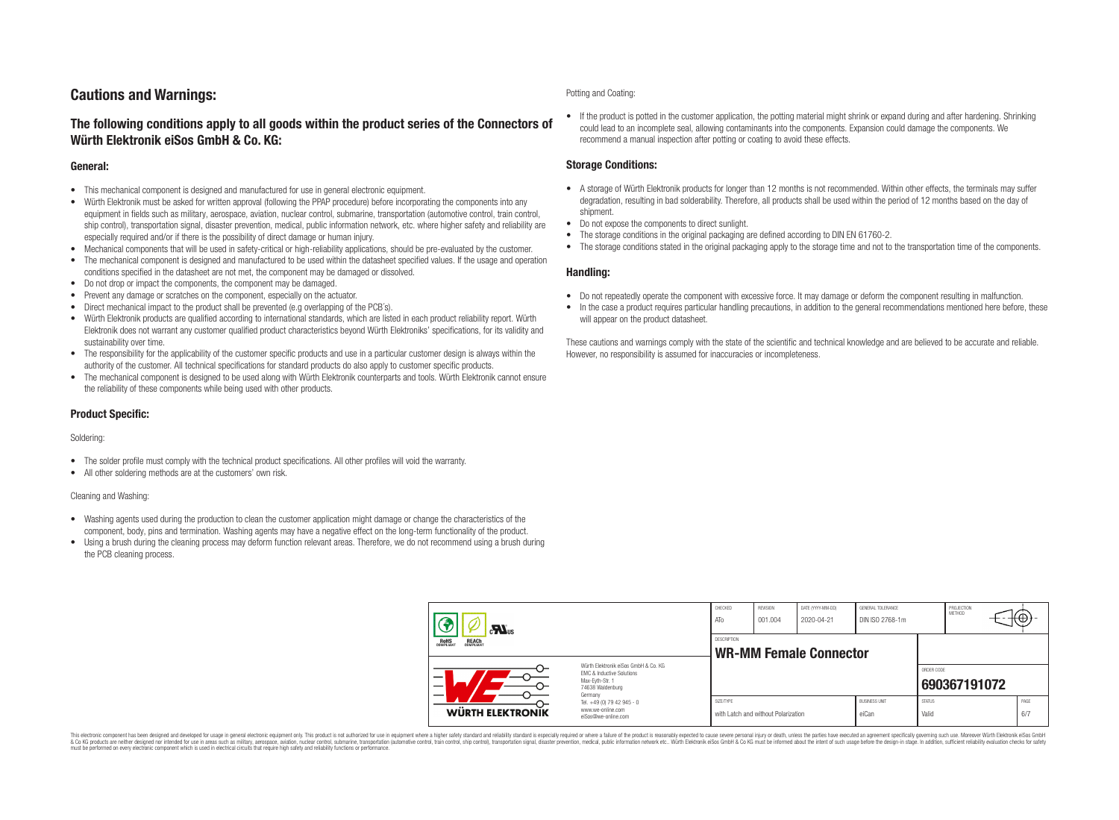# **Cautions and Warnings:**

### **The following conditions apply to all goods within the product series of the Connectors of Würth Elektronik eiSos GmbH & Co. KG:**

### **General:**

- This mechanical component is designed and manufactured for use in general electronic equipment.
- Würth Elektronik must be asked for written approval (following the PPAP procedure) before incorporating the components into any equipment in fields such as military, aerospace, aviation, nuclear control, submarine, transportation (automotive control, train control, ship control), transportation signal, disaster prevention, medical, public information network, etc. where higher safety and reliability are especially required and/or if there is the possibility of direct damage or human injury.
- Mechanical components that will be used in safety-critical or high-reliability applications, should be pre-evaluated by the customer.
- The mechanical component is designed and manufactured to be used within the datasheet specified values. If the usage and operation conditions specified in the datasheet are not met, the component may be damaged or dissolved.
- Do not drop or impact the components, the component may be damaged.
- Prevent any damage or scratches on the component, especially on the actuator.
- Direct mechanical impact to the product shall be prevented (e.g overlapping of the PCB's).
- Würth Elektronik products are qualified according to international standards, which are listed in each product reliability report. Würth Elektronik does not warrant any customer qualified product characteristics beyond Würth Elektroniks' specifications, for its validity and sustainability over time.
- The responsibility for the applicability of the customer specific products and use in a particular customer design is always within the authority of the customer. All technical specifications for standard products do also apply to customer specific products.
- The mechanical component is designed to be used along with Würth Elektronik counterparts and tools. Würth Elektronik cannot ensure the reliability of these components while being used with other products.

### **Product Specific:**

### Soldering:

- The solder profile must comply with the technical product specifications. All other profiles will void the warranty.
- All other soldering methods are at the customers' own risk.

### Cleaning and Washing:

- Washing agents used during the production to clean the customer application might damage or change the characteristics of the component, body, pins and termination. Washing agents may have a negative effect on the long-term functionality of the product.
- Using a brush during the cleaning process may deform function relevant areas. Therefore, we do not recommend using a brush during the PCB cleaning process.

#### Potting and Coating:

• If the product is potted in the customer application, the potting material might shrink or expand during and after hardening. Shrinking could lead to an incomplete seal, allowing contaminants into the components. Expansion could damage the components. We recommend a manual inspection after potting or coating to avoid these effects.

### **Storage Conditions:**

- A storage of Würth Elektronik products for longer than 12 months is not recommended. Within other effects, the terminals may suffer degradation, resulting in bad solderability. Therefore, all products shall be used within the period of 12 months based on the day of shipment.
- Do not expose the components to direct sunlight.
- The storage conditions in the original packaging are defined according to DIN EN 61760-2.
- The storage conditions stated in the original packaging apply to the storage time and not to the transportation time of the components.

### **Handling:**

- Do not repeatedly operate the component with excessive force. It may damage or deform the component resulting in malfunction.
- In the case a product requires particular handling precautions, in addition to the general recommendations mentioned here before, these will appear on the product datasheet.

These cautions and warnings comply with the state of the scientific and technical knowledge and are believed to be accurate and reliable. However, no responsibility is assumed for inaccuracies or incompleteness.

| $\mathbf{r}$<br><b>REACH</b><br>COMPLIANT<br>ROHS<br>COMPLIANT<br>Würth Flektronik eiSos GmbH & Co. KG<br>FMC & Inductive Solutions<br>_<br>Max-Evth-Str. 1<br>74638 Waldenburg<br>Germany |                                                                        | CHECKED<br>ATo                               | REVISION<br>001.004                 | DATE (YYYY-MM-DD)<br>2020-04-21 | GENERAL TOLERANCE<br>DIN ISO 2768-1m |                        | PROJECTION<br>METHOD |  | ₩           |
|--------------------------------------------------------------------------------------------------------------------------------------------------------------------------------------------|------------------------------------------------------------------------|----------------------------------------------|-------------------------------------|---------------------------------|--------------------------------------|------------------------|----------------------|--|-------------|
|                                                                                                                                                                                            |                                                                        | DESCRIPTION<br><b>WR-MM Female Connector</b> |                                     |                                 |                                      |                        |                      |  |             |
|                                                                                                                                                                                            |                                                                        |                                              |                                     |                                 |                                      | ORDER CODE             | 690367191072         |  |             |
| <b>WÜRTH ELEKTRONIK</b>                                                                                                                                                                    | Tel. +49 (0) 79 42 945 - 0<br>www.we-online.com<br>eiSos@we-online.com | SIZE/TYPE                                    | with Latch and without Polarization |                                 | <b>BUSINESS UNIT</b><br>eiCan        | <b>STATUS</b><br>Valid |                      |  | PAGE<br>6/7 |

This electronic component has been designed and developed for usage in general electronic equipment only. This product is not authorized for use in equipment where a higher safety standard and reliability standard si espec & Ook product a label and the membed of the seasuch as marked and as which such a membed and the such assume that income in the seasuch and the simulation and the such assume that include to the such a membed and the such